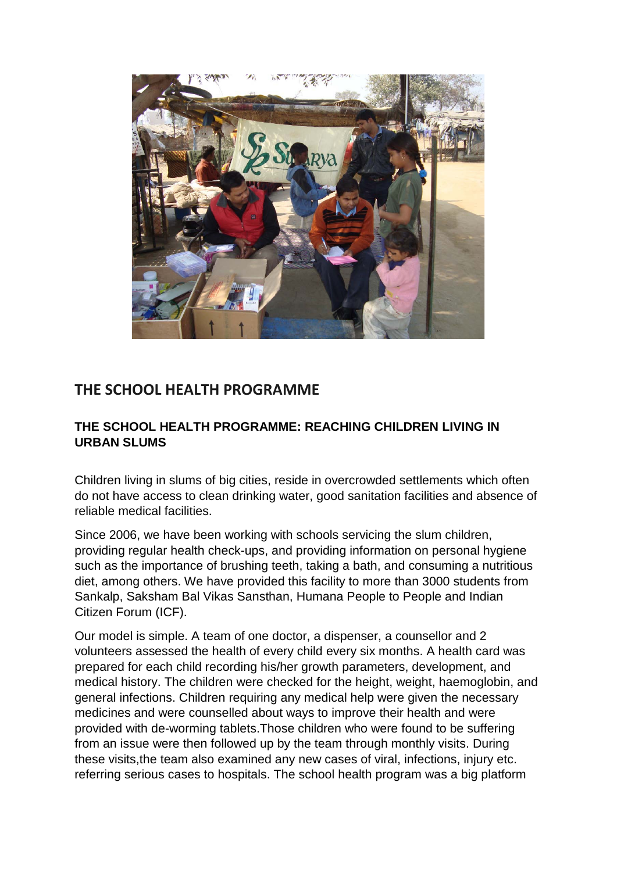

## **THE SCHOOL HEALTH PROGRAMME**

## **THE SCHOOL HEALTH PROGRAMME: REACHING CHILDREN LIVING IN URBAN SLUMS**

Children living in slums of big cities, reside in overcrowded settlements which often do not have access to clean drinking water, good sanitation facilities and absence of reliable medical facilities.

Since 2006, we have been working with schools servicing the slum children, providing regular health check-ups, and providing information on personal hygiene such as the importance of brushing teeth, taking a bath, and consuming a nutritious diet, among others. We have provided this facility to more than 3000 students from Sankalp, Saksham Bal Vikas Sansthan, Humana People to People and Indian Citizen Forum (ICF).

Our model is simple. A team of one doctor, a dispenser, a counsellor and 2 volunteers assessed the health of every child every six months. A health card was prepared for each child recording his/her growth parameters, development, and medical history. The children were checked for the height, weight, haemoglobin, and general infections. Children requiring any medical help were given the necessary medicines and were counselled about ways to improve their health and were provided with de-worming tablets.Those children who were found to be suffering from an issue were then followed up by the team through monthly visits. During these visits,the team also examined any new cases of viral, infections, injury etc. referring serious cases to hospitals. The school health program was a big platform